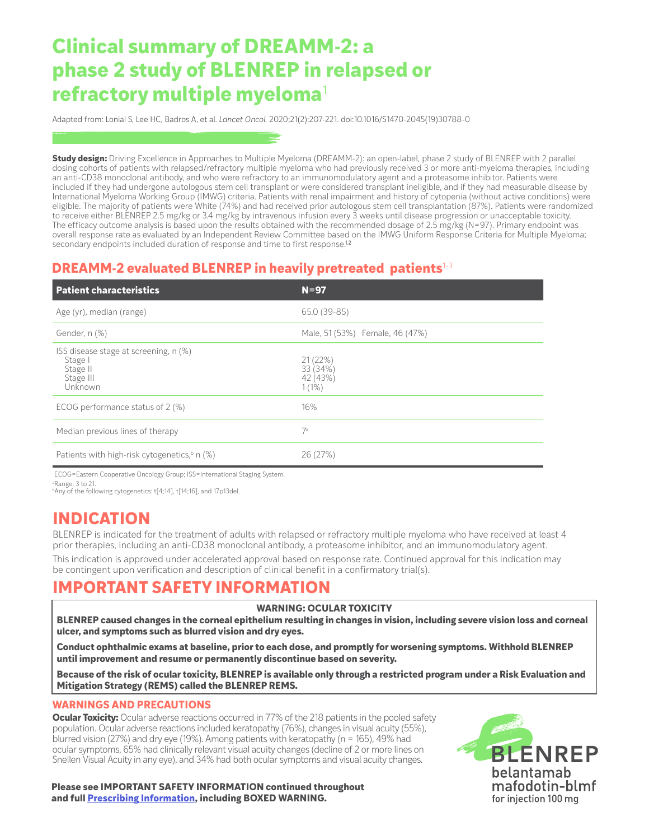# **Clinical summary of DREAMM-2: a phase 2 study of BLENREP in relapsed or refractory multiple myeloma**<sup>1</sup>

Adapted from: Lonial S, Lee HC, Badros A, et al. *Lancet Oncol.* 2020;21(2):207-221. doi:10.1016/S1470-2045(19)30788-0

**Study design:** Driving Excellence in Approaches to Multiple Myeloma (DREAMM-2): an open-label, phase 2 study of BLENREP with 2 parallel dosing cohorts of patients with relapsed/refractory multiple myeloma who had previously received 3 or more anti-myeloma therapies, including an anti-CD38 monoclonal antibody, and who were refractory to an immunomodulatory agent and a proteasome inhibitor. Patients were included if they had undergone autologous stem cell transplant or were considered transplant ineligible, and if they had measurable disease by International Myeloma Working Group (IMWG) criteria. Patients with renal impairment and history of cytopenia (without active conditions) were eligible. The majority of patients were White (74%) and had received prior autologous stem cell transplantation (87%). Patients were randomized to receive either BLENREP 2.5 mg/kg or 3.4 mg/kg by intravenous infusion every 3 weeks until disease progression or unacceptable toxicity. The efficacy outcome analysis is based upon the results obtained with the recommended dosage of 2.5 mg/kg (N=97). Primary endpoint was overall response rate as evaluated by an Independent Review Committee based on the IMWG Uniform Response Criteria for Multiple Myeloma; secondary endpoints included duration of response and time to first response.<sup>12</sup>

### **DREAMM-2 evaluated BLENREP in heavily pretreated patients**1-3

| <b>Patient characteristics</b>                                                            | $N = 97$                                    |
|-------------------------------------------------------------------------------------------|---------------------------------------------|
| Age (yr), median (range)                                                                  | 65.0 (39-85)                                |
| Gender, n (%)                                                                             | Male, 51 (53%) Female, 46 (47%)             |
| ISS disease stage at screening, n (%)<br><b>Stage</b><br>Stage II<br>Stage III<br>Unknown | 21(22%)<br>33 (34%)<br>42 (43%)<br>$1(1\%)$ |
| ECOG performance status of 2 (%)                                                          | 16%                                         |
| Median previous lines of therapy                                                          | 7a                                          |
| Patients with high-risk cytogenetics, <sup>b</sup> n (%)                                  | 26 (27%)                                    |

ECOG=Eastern Cooperative Oncology Group; ISS=International Staging System.

a Range: 3 to 21. bAny of the following cytogenetics: t[4;14], t[14;16], and 17p13del.

# **INDICATION**

BLENREP is indicated for the treatment of adults with relapsed or refractory multiple myeloma who have received at least 4 prior therapies, including an anti-CD38 monoclonal antibody, a proteasome inhibitor, and an immunomodulatory agent.

This indication is approved under accelerated approval based on response rate. Continued approval for this indication may be contingent upon verification and description of clinical benefit in a confirmatory trial(s).

# **IMPORTANT SAFETY INFORMATION**

#### **WARNING: OCULAR TOXICITY**

**BLENREP caused changes in the corneal epithelium resulting in changes in vision, including severe vision loss and corneal ulcer, and symptoms such as blurred vision and dry eyes.**

**Conduct ophthalmic exams at baseline, prior to each dose, and promptly for worsening symptoms. Withhold BLENREP until improvement and resume or permanently discontinue based on severity.**

**Because of the risk of ocular toxicity, BLENREP is available only through a restricted program under a Risk Evaluation and Mitigation Strategy (REMS) called the BLENREP REMS.**

#### **WARNINGS AND PRECAUTIONS**

**Ocular Toxicity:** Ocular adverse reactions occurred in 77% of the 218 patients in the pooled safety population. Ocular adverse reactions included keratopathy (76%), changes in visual acuity (55%), blurred vision (27%) and dry eye (19%). Among patients with keratopathy (n = 165), 49% had ocular symptoms, 65% had clinically relevant visual acuity changes (decline of 2 or more lines on Snellen Visual Acuity in any eye), and 34% had both ocular symptoms and visual acuity changes.

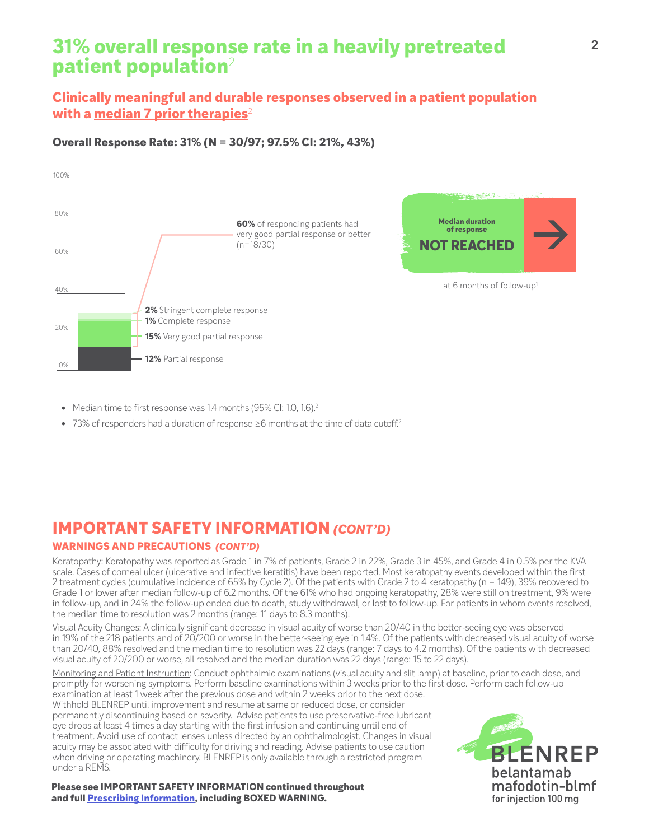# **31% overall response rate in a heavily pretreated patient population**<sup>2</sup>

## **Clinically meaningful and durable responses observed in a patient population with a median 7 prior therapies**<sup>2</sup>

### **Overall Response Rate: 31% (N = 30/97; 97.5% CI: 21%, 43%)**



- Median time to first response was 1.4 months (95% CI: 1.0, 1.6).<sup>2</sup>
- **•** 73% of responders had a duration of response ≥6 months at the time of data cutoff.2

# **IMPORTANT SAFETY INFORMATION** *(CONT'D)*

### **WARNINGS AND PRECAUTIONS** *(CONT'D)*

Keratopathy: Keratopathy was reported as Grade 1 in 7% of patients, Grade 2 in 22%, Grade 3 in 45%, and Grade 4 in 0.5% per the KVA scale. Cases of corneal ulcer (ulcerative and infective keratitis) have been reported. Most keratopathy events developed within the first 2 treatment cycles (cumulative incidence of 65% by Cycle 2). Of the patients with Grade 2 to 4 keratopathy (n = 149), 39% recovered to Grade 1 or lower after median follow-up of 6.2 months. Of the 61% who had ongoing keratopathy, 28% were still on treatment, 9% were in follow-up, and in 24% the follow-up ended due to death, study withdrawal, or lost to follow-up. For patients in whom events resolved, the median time to resolution was 2 months (range: 11 days to 8.3 months).

Visual Acuity Changes: A clinically significant decrease in visual acuity of worse than 20/40 in the better-seeing eye was observed in 19% of the 218 patients and of 20/200 or worse in the better-seeing eye in 1.4%. Of the patients with decreased visual acuity of worse than 20/40, 88% resolved and the median time to resolution was 22 days (range: 7 days to 4.2 months). Of the patients with decreased visual acuity of 20/200 or worse, all resolved and the median duration was 22 days (range: 15 to 22 days).

Monitoring and Patient Instruction: Conduct ophthalmic examinations (visual acuity and slit lamp) at baseline, prior to each dose, and promptly for worsening symptoms. Perform baseline examinations within 3 weeks prior to the first dose. Perform each follow-up examination at least 1 week after the previous dose and within 2 weeks prior to the next dose.

Withhold BLENREP until improvement and resume at same or reduced dose, or consider permanently discontinuing based on severity. Advise patients to use preservative-free lubricant eye drops at least 4 times a day starting with the first infusion and continuing until end of treatment. Avoid use of contact lenses unless directed by an ophthalmologist. Changes in visual acuity may be associated with difficulty for driving and reading. Advise patients to use caution when driving or operating machinery. BLENREP is only available through a restricted program under a REMS.

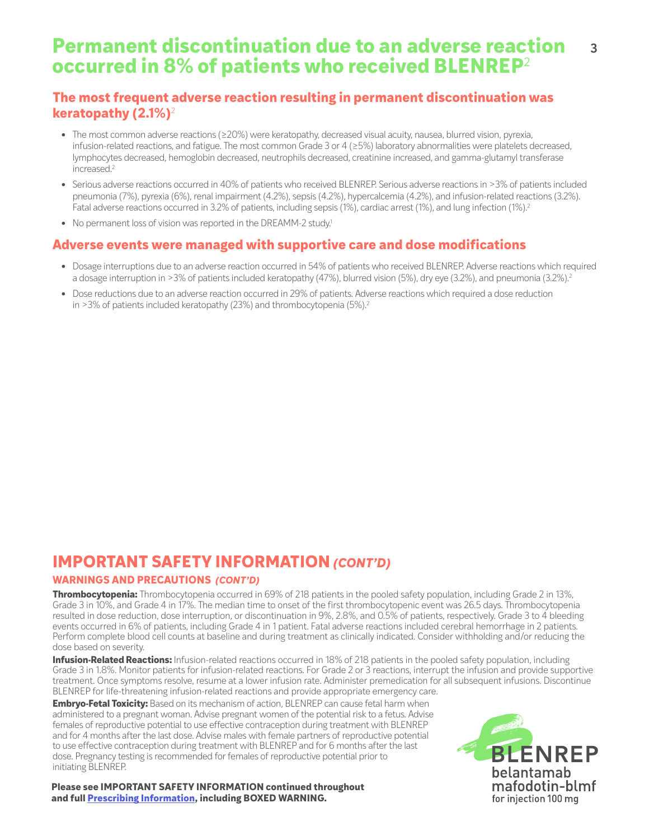### **Permanent discontinuation due to an adverse reaction occurred in 8% of patients who received BLENREP**<sup>2</sup> **3**

## **The most frequent adverse reaction resulting in permanent discontinuation was keratopathy (2.1%)**<sup>2</sup>

- **•** The most common adverse reactions (≥20%) were keratopathy, decreased visual acuity, nausea, blurred vision, pyrexia, infusion-related reactions, and fatigue. The most common Grade 3 or 4 (≥5%) laboratory abnormalities were platelets decreased, lymphocytes decreased, hemoglobin decreased, neutrophils decreased, creatinine increased, and gamma-glutamyl transferase increased.2
- **•** Serious adverse reactions occurred in 40% of patients who received BLENREP. Serious adverse reactions in >3% of patients included pneumonia (7%), pyrexia (6%), renal impairment (4.2%), sepsis (4.2%), hypercalcemia (4.2%), and infusion-related reactions (3.2%). Fatal adverse reactions occurred in 3.2% of patients, including sepsis (1%), cardiac arrest (1%), and lung infection (1%).<sup>2</sup>
- No permanent loss of vision was reported in the DREAMM-2 study.<sup>1</sup>

### **Adverse events were managed with supportive care and dose modifications**

- **•** Dosage interruptions due to an adverse reaction occurred in 54% of patients who received BLENREP. Adverse reactions which required a dosage interruption in >3% of patients included keratopathy (47%), blurred vision (5%), dry eye (3.2%), and pneumonia (3.2%).<sup>2</sup>
- **•** Dose reductions due to an adverse reaction occurred in 29% of patients. Adverse reactions which required a dose reduction in  $>3\%$  of patients included keratopathy (23%) and thrombocytopenia (5%).<sup>2</sup>

## **IMPORTANT SAFETY INFORMATION** *(CONT'D)*

### **WARNINGS AND PRECAUTIONS** *(CONT'D)*

**Thrombocytopenia:** Thrombocytopenia occurred in 69% of 218 patients in the pooled safety population, including Grade 2 in 13%, Grade 3 in 10%, and Grade 4 in 17%. The median time to onset of the first thrombocytopenic event was 26.5 days. Thrombocytopenia resulted in dose reduction, dose interruption, or discontinuation in 9%, 2.8%, and 0.5% of patients, respectively. Grade 3 to 4 bleeding events occurred in 6% of patients, including Grade 4 in 1 patient. Fatal adverse reactions included cerebral hemorrhage in 2 patients. Perform complete blood cell counts at baseline and during treatment as clinically indicated. Consider withholding and/or reducing the dose based on severity.

**Infusion-Related Reactions:** Infusion-related reactions occurred in 18% of 218 patients in the pooled safety population, including Grade 3 in 1.8%. Monitor patients for infusion-related reactions. For Grade 2 or 3 reactions, interrupt the infusion and provide supportive treatment. Once symptoms resolve, resume at a lower infusion rate. Administer premedication for all subsequent infusions. Discontinue BLENREP for life-threatening infusion-related reactions and provide appropriate emergency care.

**Embryo-Fetal Toxicity:** Based on its mechanism of action, BLENREP can cause fetal harm when administered to a pregnant woman. Advise pregnant women of the potential risk to a fetus. Advise females of reproductive potential to use effective contraception during treatment with BLENREP and for 4 months after the last dose. Advise males with female partners of reproductive potential to use effective contraception during treatment with BLENREP and for 6 months after the last dose. Pregnancy testing is recommended for females of reproductive potential prior to initiating BLENREP.

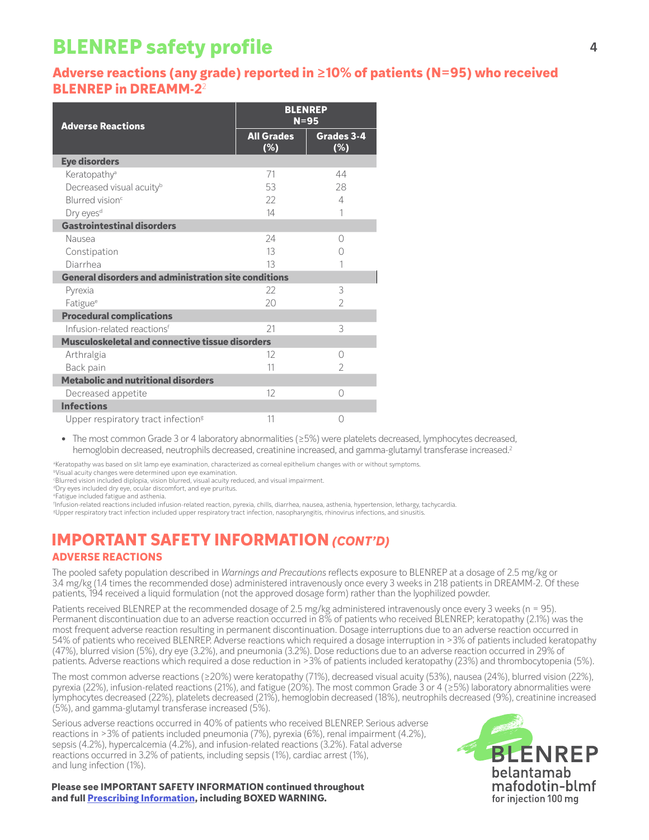# **BLENREP safety profile**

### **Adverse reactions (any grade) reported in ≥10% of patients (N=95) who received BLENREP in DREAMM-2**<sup>2</sup>

| <b>Adverse Reactions</b>                                    | <b>BLENREP</b><br>$N = 95$ |                   |
|-------------------------------------------------------------|----------------------------|-------------------|
|                                                             | <b>All Grades</b><br>(%)   | Grades 3-4<br>(%) |
| <b>Eye disorders</b>                                        |                            |                   |
| Keratopathy <sup>a</sup>                                    | 71                         | 44                |
| Decreased visual acuity <sup>b</sup>                        | 53                         | 28                |
| Blurred vision <sup>c</sup>                                 | 22                         | $\overline{4}$    |
| Dry eyes <sup>d</sup>                                       | 14                         | 1                 |
| <b>Gastrointestinal disorders</b>                           |                            |                   |
| Nausea                                                      | 24                         | $\bigcap$         |
| Constipation                                                | 13                         | Ω                 |
| Diarrhea                                                    | 13                         |                   |
| <b>General disorders and administration site conditions</b> |                            |                   |
| Pyrexia                                                     | 22                         | 3                 |
| Fatigue <sup>e</sup>                                        | 20                         | $\overline{2}$    |
| <b>Procedural complications</b>                             |                            |                   |
| Infusion-related reactionsf                                 | 21                         | 3                 |
| Musculoskeletal and connective tissue disorders             |                            |                   |
| Arthralgia                                                  | 12                         | $\bigcap$         |
| Back pain                                                   | 11                         | $\overline{2}$    |
| <b>Metabolic and nutritional disorders</b>                  |                            |                   |
| Decreased appetite                                          | 12                         | 0                 |
| <b>Infections</b>                                           |                            |                   |
| Upper respiratory tract infection <sup>g</sup>              | 11                         | 0                 |

**•** The most common Grade 3 or 4 laboratory abnormalities (≥5%) were platelets decreased, lymphocytes decreased, hemoglobin decreased, neutrophils decreased, creatinine increased, and gamma-glutamyl transferase increased.<sup>2</sup>

a Keratopathy was based on slit lamp eye examination, characterized as corneal epithelium changes with or without symptoms.

**bVisual acuity changes were determined upon eye examination.** 

c Blurred vision included diplopia, vision blurred, visual acuity reduced, and visual impairment.

dDry eyes included dry eye, ocular discomfort, and eye pruritus.

e Fatigue included fatigue and asthenia.

f Infusion-related reactions included infusion-related reaction, pyrexia, chills, diarrhea, nausea, asthenia, hypertension, lethargy, tachycardia.

g Upper respiratory tract infection included upper respiratory tract infection, nasopharyngitis, rhinovirus infections, and sinusitis.

## **ADVERSE REACTIONS IMPORTANT SAFETY INFORMATION** *(CONT'D)*

The pooled safety population described in *Warnings and Precautions* reflects exposure to BLENREP at a dosage of 2.5 mg/kg or 3.4 mg/kg (1.4 times the recommended dose) administered intravenously once every 3 weeks in 218 patients in DREAMM-2. Of these patients, 194 received a liquid formulation (not the approved dosage form) rather than the lyophilized powder.

Patients received BLENREP at the recommended dosage of 2.5 mg/kg administered intravenously once every 3 weeks (n = 95). Permanent discontinuation due to an adverse reaction occurred in 8% of patients who received BLENREP; keratopathy (2.1%) was the most frequent adverse reaction resulting in permanent discontinuation. Dosage interruptions due to an adverse reaction occurred in 54% of patients who received BLENREP. Adverse reactions which required a dosage interruption in >3% of patients included keratopathy (47%), blurred vision (5%), dry eye (3.2%), and pneumonia (3.2%). Dose reductions due to an adverse reaction occurred in 29% of patients. Adverse reactions which required a dose reduction in >3% of patients included keratopathy (23%) and thrombocytopenia (5%).

The most common adverse reactions (≥20%) were keratopathy (71%), decreased visual acuity (53%), nausea (24%), blurred vision (22%), pyrexia (22%), infusion-related reactions (21%), and fatigue (20%). The most common Grade 3 or 4 (≥5%) laboratory abnormalities were lymphocytes decreased (22%), platelets decreased (21%), hemoglobin decreased (18%), neutrophils decreased (9%), creatinine increased (5%), and gamma-glutamyl transferase increased (5%).

Serious adverse reactions occurred in 40% of patients who received BLENREP. Serious adverse reactions in >3% of patients included pneumonia (7%), pyrexia (6%), renal impairment (4.2%), sepsis (4.2%), hypercalcemia (4.2%), and infusion-related reactions (3.2%). Fatal adverse reactions occurred in 3.2% of patients, including sepsis (1%), cardiac arrest (1%), and lung infection (1%).

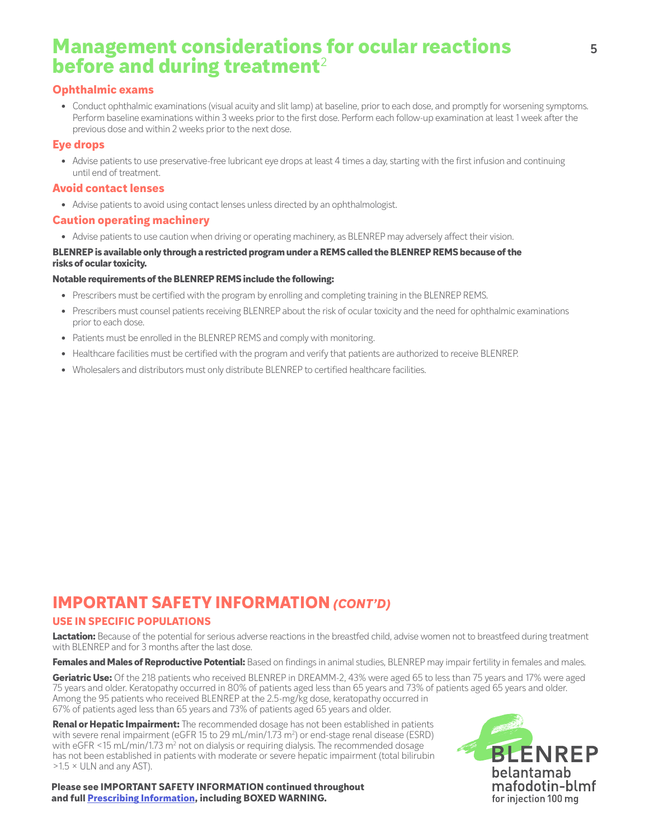# **Management considerations for ocular reactions before and during treatment**<sup>2</sup>

### **Ophthalmic exams**

**•** Conduct ophthalmic examinations (visual acuity and slit lamp) at baseline, prior to each dose, and promptly for worsening symptoms. Perform baseline examinations within 3 weeks prior to the first dose. Perform each follow-up examination at least 1 week after the previous dose and within 2 weeks prior to the next dose.

### **Eye drops**

**•** Advise patients to use preservative-free lubricant eye drops at least 4 times a day, starting with the first infusion and continuing until end of treatment.

### **Avoid contact lenses**

**•** Advise patients to avoid using contact lenses unless directed by an ophthalmologist.

### **Caution operating machinery**

**•** Advise patients to use caution when driving or operating machinery, as BLENREP may adversely affect their vision.

#### **BLENREP is available only through a restricted program under a REMS called the BLENREP REMS because of the risks of ocular toxicity.**

#### **Notable requirements of the BLENREP REMS include the following:**

- **•** Prescribers must be certified with the program by enrolling and completing training in the BLENREP REMS.
- **•** Prescribers must counsel patients receiving BLENREP about the risk of ocular toxicity and the need for ophthalmic examinations prior to each dose.
- **•** Patients must be enrolled in the BLENREP REMS and comply with monitoring.
- **•** Healthcare facilities must be certified with the program and verify that patients are authorized to receive BLENREP.
- **•** Wholesalers and distributors must only distribute BLENREP to certified healthcare facilities.

# **IMPORTANT SAFETY INFORMATION** *(CONT'D)*

### **USE IN SPECIFIC POPULATIONS**

Lactation: Because of the potential for serious adverse reactions in the breastfed child, advise women not to breastfeed during treatment with BLENREP and for 3 months after the last dose.

**Females and Males of Reproductive Potential:** Based on findings in animal studies, BLENREP may impair fertility in females and males.

**Geriatric Use:** Of the 218 patients who received BLENREP in DREAMM-2, 43% were aged 65 to less than 75 years and 17% were aged 75 years and older. Keratopathy occurred in 80% of patients aged less than 65 years and 73% of patients aged 65 years and older. Among the 95 patients who received BLENREP at the 2.5-mg/kg dose, keratopathy occurred in 67% of patients aged less than 65 years and 73% of patients aged 65 years and older.

**Renal or Hepatic Impairment:** The recommended dosage has not been established in patients with severe renal impairment (eGFR 15 to 29 mL/min/1.73 m²) or end-stage renal disease (ESRD) with eGFR <15 mL/min/1.73 m<sup>2</sup> not on dialysis or requiring dialysis. The recommended dosage has not been established in patients with moderate or severe hepatic impairment (total bilirubin  $>1.5 \times$  ULN and any AST).